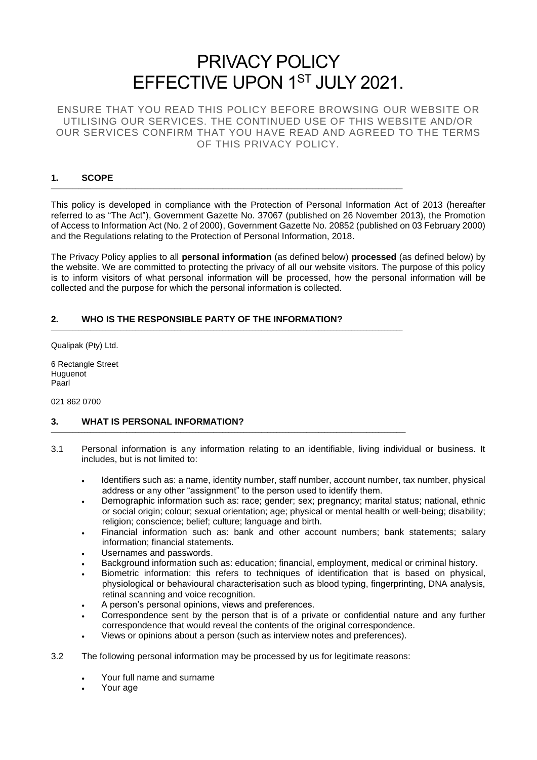# PRIVACY POLICY EFFECTIVE UPON 1ST JULY 2021.

ENSURE THAT YOU READ THIS POLICY BEFORE BROWSING OUR WEBSITE OR UTILISING OUR SERVICES. THE CONTINUED USE OF THIS WEBSITE AND/OR OUR SERVICES CONFIRM THAT YOU HAVE READ AND AGREED TO THE TERMS OF THIS PRIVACY POLICY.

# **1. SCOPE**

This policy is developed in compliance with the Protection of Personal Information Act of 2013 (hereafter referred to as "The Act"), Government Gazette No. 37067 (published on 26 November 2013), the Promotion of Access to Information Act (No. 2 of 2000), Government Gazette No. 20852 (published on 03 February 2000) and the Regulations relating to the Protection of Personal Information, 2018.

\_\_\_\_\_\_\_\_\_\_\_\_\_\_\_\_\_\_\_\_\_\_\_\_\_\_\_\_\_\_\_\_\_\_\_\_\_\_\_\_\_\_\_\_\_\_\_\_\_\_\_\_\_\_\_\_\_\_\_\_\_\_\_\_\_\_\_\_\_\_\_\_\_\_\_\_\_\_\_\_\_\_\_\_\_\_\_\_\_\_\_\_\_\_\_\_\_\_\_\_\_\_\_\_\_\_\_\_\_\_\_\_\_\_\_\_\_

\_\_\_\_\_\_\_\_\_\_\_\_\_\_\_\_\_\_\_\_\_\_\_\_\_\_\_\_\_\_\_\_\_\_\_\_\_\_\_\_\_\_\_\_\_\_\_\_\_\_\_\_\_\_\_\_\_\_\_\_\_\_\_\_\_\_\_\_\_\_\_\_\_\_\_\_\_\_\_\_\_\_\_\_\_\_\_\_\_\_\_\_\_\_\_\_\_\_\_\_\_\_\_\_\_\_\_\_\_\_\_\_\_\_\_\_\_

\_\_\_\_\_\_\_\_\_\_\_\_\_\_\_\_\_\_\_\_\_\_\_\_\_\_\_\_\_\_\_\_\_\_\_\_\_\_\_\_\_\_\_\_\_\_\_\_\_\_\_\_\_\_\_\_\_\_\_\_\_\_\_\_\_\_\_\_\_\_\_\_\_\_\_\_\_\_\_\_\_\_\_\_\_\_\_\_\_\_\_\_\_\_\_\_\_\_\_\_\_\_\_\_\_\_\_\_\_\_\_\_\_\_\_\_\_\_

The Privacy Policy applies to all **personal information** (as defined below) **processed** (as defined below) by the website. We are committed to protecting the privacy of all our website visitors. The purpose of this policy is to inform visitors of what personal information will be processed, how the personal information will be collected and the purpose for which the personal information is collected.

## **2. WHO IS THE RESPONSIBLE PARTY OF THE INFORMATION?**

Qualipak (Pty) Ltd.

6 Rectangle Street **Huguenot** Paarl

021 862 0700

## **3. WHAT IS PERSONAL INFORMATION?**

- 3.1 Personal information is any information relating to an identifiable, living individual or business. It includes, but is not limited to:
	- Identifiers such as: a name, identity number, staff number, account number, tax number, physical address or any other "assignment" to the person used to identify them.
	- Demographic information such as: race; gender; sex; pregnancy; marital status; national, ethnic or social origin; colour; sexual orientation; age; physical or mental health or well-being; disability; religion; conscience; belief; culture; language and birth.
	- Financial information such as: bank and other account numbers; bank statements; salary information; financial statements.
	- Usernames and passwords.
	- Background information such as: education; financial, employment, medical or criminal history.
	- Biometric information: this refers to techniques of identification that is based on physical, physiological or behavioural characterisation such as blood typing, fingerprinting, DNA analysis, retinal scanning and voice recognition.
	- A person's personal opinions, views and preferences.
	- Correspondence sent by the person that is of a private or confidential nature and any further correspondence that would reveal the contents of the original correspondence.
	- Views or opinions about a person (such as interview notes and preferences).
- 3.2 The following personal information may be processed by us for legitimate reasons:
	- Your full name and surname
	- Your age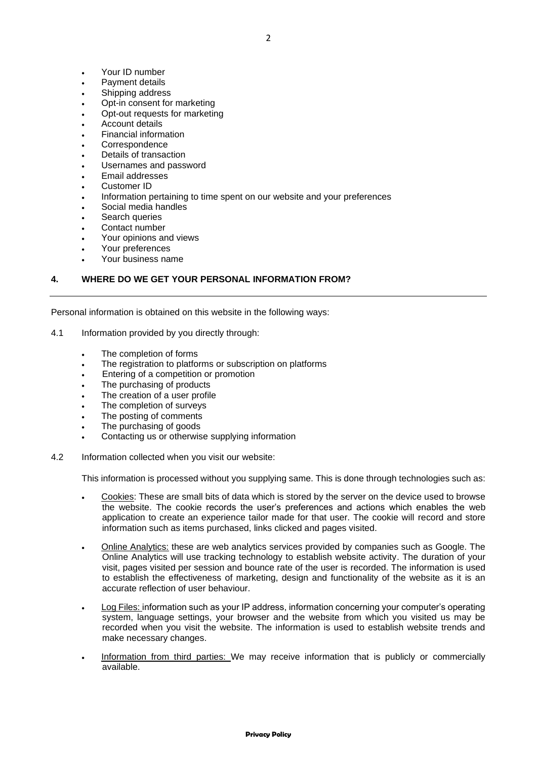- Your ID number
- Payment details
- Shipping address
- Opt-in consent for marketing
- Opt-out requests for marketing
- Account details
- Financial information
- **Correspondence**
- Details of transaction
- Usernames and password
- Email addresses
- Customer ID
- Information pertaining to time spent on our website and your preferences
- Social media handles
- Search queries
- Contact number
- Your opinions and views
- Your preferences
- Your business name

## **4. WHERE DO WE GET YOUR PERSONAL INFORMATION FROM?**

Personal information is obtained on this website in the following ways:

- 4.1 Information provided by you directly through:
	- The completion of forms
	- The registration to platforms or subscription on platforms
	- Entering of a competition or promotion
	- The purchasing of products
	- The creation of a user profile
	- The completion of surveys
	- The posting of comments
	- The purchasing of goods
	- Contacting us or otherwise supplying information
- 4.2 Information collected when you visit our website:

This information is processed without you supplying same. This is done through technologies such as:

- Cookies: These are small bits of data which is stored by the server on the device used to browse the website. The cookie records the user's preferences and actions which enables the web application to create an experience tailor made for that user. The cookie will record and store information such as items purchased, links clicked and pages visited.
- Online Analytics: these are web analytics services provided by companies such as Google. The Online Analytics will use tracking technology to establish website activity. The duration of your visit, pages visited per session and bounce rate of the user is recorded. The information is used to establish the effectiveness of marketing, design and functionality of the website as it is an accurate reflection of user behaviour.
- Log Files: information such as your IP address, information concerning your computer's operating system, language settings, your browser and the website from which you visited us may be recorded when you visit the website. The information is used to establish website trends and make necessary changes.
- Information from third parties: We may receive information that is publicly or commercially available.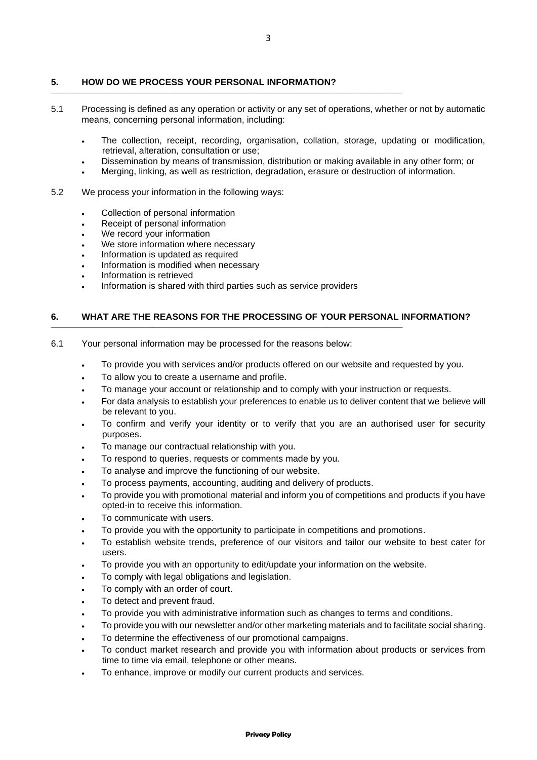## **5. HOW DO WE PROCESS YOUR PERSONAL INFORMATION?**

\_\_\_\_\_\_\_\_\_\_\_\_\_\_\_\_\_\_\_\_\_\_\_\_\_\_\_\_\_\_\_\_\_\_\_\_\_\_\_\_\_\_\_\_\_\_\_\_\_\_\_\_\_\_\_\_\_\_\_\_\_\_\_\_\_\_\_\_\_\_\_\_\_\_\_\_\_\_\_\_\_\_\_\_\_\_\_\_\_\_\_\_\_\_\_\_\_\_\_\_\_\_\_\_\_\_\_\_\_\_\_\_\_\_\_\_\_

- 5.1 Processing is defined as any operation or activity or any set of operations, whether or not by automatic means, concerning personal information, including:
	- The collection, receipt, recording, organisation, collation, storage, updating or modification, retrieval, alteration, consultation or use;
	- Dissemination by means of transmission, distribution or making available in any other form; or
	- Merging, linking, as well as restriction, degradation, erasure or destruction of information.
- 5.2 We process your information in the following ways:
	- Collection of personal information
	- Receipt of personal information
	- We record your information
	- We store information where necessary
	- Information is updated as required
	- Information is modified when necessary
	- Information is retrieved
	- Information is shared with third parties such as service providers

\_\_\_\_\_\_\_\_\_\_\_\_\_\_\_\_\_\_\_\_\_\_\_\_\_\_\_\_\_\_\_\_\_\_\_\_\_\_\_\_\_\_\_\_\_\_\_\_\_\_\_\_\_\_\_\_\_\_\_\_\_\_\_\_\_\_\_\_\_\_\_\_\_\_\_\_\_\_\_\_\_\_\_\_\_\_\_\_\_\_\_\_\_\_\_\_\_\_\_\_\_\_\_\_\_\_\_\_\_\_\_\_\_\_\_\_\_

#### **6. WHAT ARE THE REASONS FOR THE PROCESSING OF YOUR PERSONAL INFORMATION?**

- 6.1 Your personal information may be processed for the reasons below:
	- To provide you with services and/or products offered on our website and requested by you.
	- To allow you to create a username and profile.
	- To manage your account or relationship and to comply with your instruction or requests.
	- For data analysis to establish your preferences to enable us to deliver content that we believe will be relevant to you.
	- To confirm and verify your identity or to verify that you are an authorised user for security purposes.
	- To manage our contractual relationship with you.
	- To respond to queries, requests or comments made by you.
	- To analyse and improve the functioning of our website.
	- To process payments, accounting, auditing and delivery of products.
	- To provide you with promotional material and inform you of competitions and products if you have opted-in to receive this information.
	- To communicate with users.
	- To provide you with the opportunity to participate in competitions and promotions.
	- To establish website trends, preference of our visitors and tailor our website to best cater for users.
	- To provide you with an opportunity to edit/update your information on the website.
	- To comply with legal obligations and legislation.
	- To comply with an order of court.
	- To detect and prevent fraud.
	- To provide you with administrative information such as changes to terms and conditions.
	- To provide you with our newsletter and/or other marketing materials and to facilitate social sharing.
	- To determine the effectiveness of our promotional campaigns.
	- To conduct market research and provide you with information about products or services from time to time via email, telephone or other means.
	- To enhance, improve or modify our current products and services.